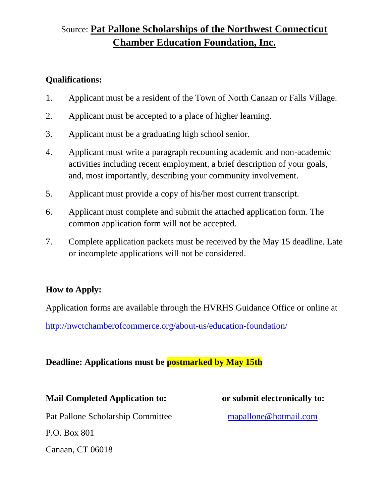# Source: **Pat Pallone Scholarships of the Northwest Connecticut Chamber Education Foundation, Inc.**

#### **Qualifications:**

- 1. Applicant must be a resident of the Town of North Canaan or Falls Village.
- 2. Applicant must be accepted to a place of higher learning.
- 3. Applicant must be a graduating high school senior.
- 4. Applicant must write a paragraph recounting academic and non-academic activities including recent employment, a brief description of your goals, and, most importantly, describing your community involvement.
- 5. Applicant must provide a copy of his/her most current transcript.
- 6. Applicant must complete and submit the attached application form. The common application form will not be accepted.
- 7. Complete application packets must be received by the May 15 deadline. Late or incomplete applications will not be considered.

### **How to Apply:**

Application forms are available through the HVRHS Guidance Office or online at

<http://nwctchamberofcommerce.org/about-us/education-foundation/>

### **Deadline: Applications must be postmarked by May 15th**

**Mail Completed Application to: or submit electronically to:** Pat Pallone Scholarship Committee [mapallone@hotmail.com](mailto:mapallone@hotmail.com) P.O. Box 801 Canaan, CT 06018